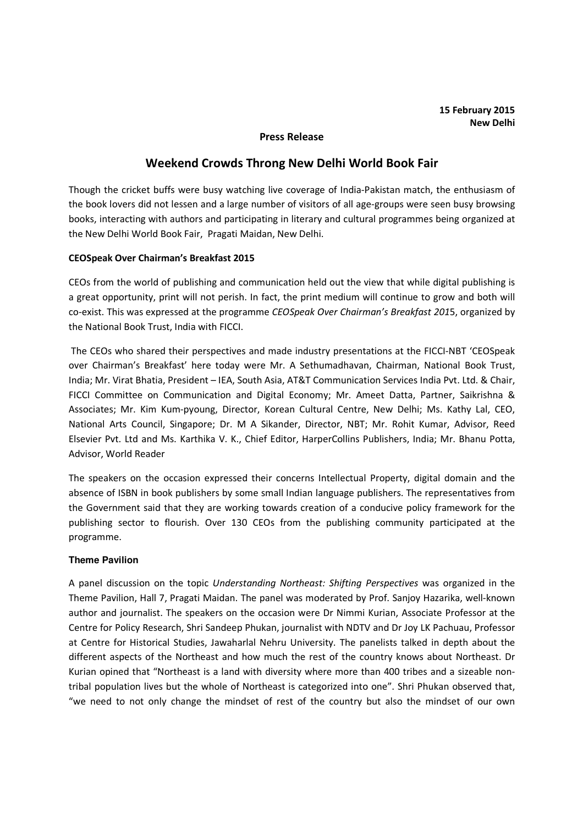## Press Release

# Weekend Crowds Throng New Delhi World Book Fair

Though the cricket buffs were busy watching live coverage of India-Pakistan match, the enthusiasm of the book lovers did not lessen and a large number of visitors of all age-groups were seen busy browsing books, interacting with authors and participating in literary and cultural programmes being organized at the New Delhi World Book Fair, Pragati Maidan, New Delhi.

## CEOSpeak Over Chairman's Breakfast 2015

CEOs from the world of publishing and communication held out the view that while digital publishing is a great opportunity, print will not perish. In fact, the print medium will continue to grow and both will co-exist. This was expressed at the programme CEOSpeak Over Chairman's Breakfast 2015, organized by the National Book Trust, India with FICCI.

 The CEOs who shared their perspectives and made industry presentations at the FICCI-NBT 'CEOSpeak over Chairman's Breakfast' here today were Mr. A Sethumadhavan, Chairman, National Book Trust, India; Mr. Virat Bhatia, President – IEA, South Asia, AT&T Communication Services India Pvt. Ltd. & Chair, FICCI Committee on Communication and Digital Economy; Mr. Ameet Datta, Partner, Saikrishna & Associates; Mr. Kim Kum-pyoung, Director, Korean Cultural Centre, New Delhi; Ms. Kathy Lal, CEO, National Arts Council, Singapore; Dr. M A Sikander, Director, NBT; Mr. Rohit Kumar, Advisor, Reed Elsevier Pvt. Ltd and Ms. Karthika V. K., Chief Editor, HarperCollins Publishers, India; Mr. Bhanu Potta, Advisor, World Reader

The speakers on the occasion expressed their concerns Intellectual Property, digital domain and the absence of ISBN in book publishers by some small Indian language publishers. The representatives from the Government said that they are working towards creation of a conducive policy framework for the publishing sector to flourish. Over 130 CEOs from the publishing community participated at the programme.

#### **Theme Pavilion**

A panel discussion on the topic Understanding Northeast: Shifting Perspectives was organized in the Theme Pavilion, Hall 7, Pragati Maidan. The panel was moderated by Prof. Sanjoy Hazarika, well-known author and journalist. The speakers on the occasion were Dr Nimmi Kurian, Associate Professor at the Centre for Policy Research, Shri Sandeep Phukan, journalist with NDTV and Dr Joy LK Pachuau, Professor at Centre for Historical Studies, Jawaharlal Nehru University. The panelists talked in depth about the different aspects of the Northeast and how much the rest of the country knows about Northeast. Dr Kurian opined that "Northeast is a land with diversity where more than 400 tribes and a sizeable nontribal population lives but the whole of Northeast is categorized into one". Shri Phukan observed that, "we need to not only change the mindset of rest of the country but also the mindset of our own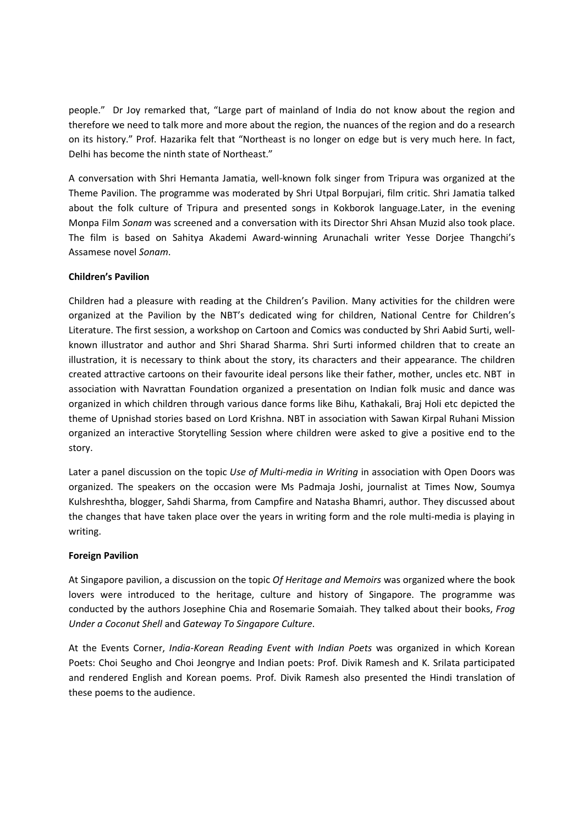people." Dr Joy remarked that, "Large part of mainland of India do not know about the region and therefore we need to talk more and more about the region, the nuances of the region and do a research on its history." Prof. Hazarika felt that "Northeast is no longer on edge but is very much here. In fact, Delhi has become the ninth state of Northeast."

A conversation with Shri Hemanta Jamatia, well-known folk singer from Tripura was organized at the Theme Pavilion. The programme was moderated by Shri Utpal Borpujari, film critic. Shri Jamatia talked about the folk culture of Tripura and presented songs in Kokborok language.Later, in the evening Monpa Film Sonam was screened and a conversation with its Director Shri Ahsan Muzid also took place. The film is based on Sahitya Akademi Award-winning Arunachali writer Yesse Dorjee Thangchi's Assamese novel Sonam.

# Children's Pavilion

Children had a pleasure with reading at the Children's Pavilion. Many activities for the children were organized at the Pavilion by the NBT's dedicated wing for children, National Centre for Children's Literature. The first session, a workshop on Cartoon and Comics was conducted by Shri Aabid Surti, wellknown illustrator and author and Shri Sharad Sharma. Shri Surti informed children that to create an illustration, it is necessary to think about the story, its characters and their appearance. The children created attractive cartoons on their favourite ideal persons like their father, mother, uncles etc. NBT in association with Navrattan Foundation organized a presentation on Indian folk music and dance was organized in which children through various dance forms like Bihu, Kathakali, Braj Holi etc depicted the theme of Upnishad stories based on Lord Krishna. NBT in association with Sawan Kirpal Ruhani Mission organized an interactive Storytelling Session where children were asked to give a positive end to the story.

Later a panel discussion on the topic Use of Multi-media in Writing in association with Open Doors was organized. The speakers on the occasion were Ms Padmaja Joshi, journalist at Times Now, Soumya Kulshreshtha, blogger, Sahdi Sharma, from Campfire and Natasha Bhamri, author. They discussed about the changes that have taken place over the years in writing form and the role multi-media is playing in writing.

#### Foreign Pavilion

At Singapore pavilion, a discussion on the topic Of Heritage and Memoirs was organized where the book lovers were introduced to the heritage, culture and history of Singapore. The programme was conducted by the authors Josephine Chia and Rosemarie Somaiah. They talked about their books, Frog Under a Coconut Shell and Gateway To Singapore Culture.

At the Events Corner, India-Korean Reading Event with Indian Poets was organized in which Korean Poets: Choi Seugho and Choi Jeongrye and Indian poets: Prof. Divik Ramesh and K. Srilata participated and rendered English and Korean poems. Prof. Divik Ramesh also presented the Hindi translation of these poems to the audience.